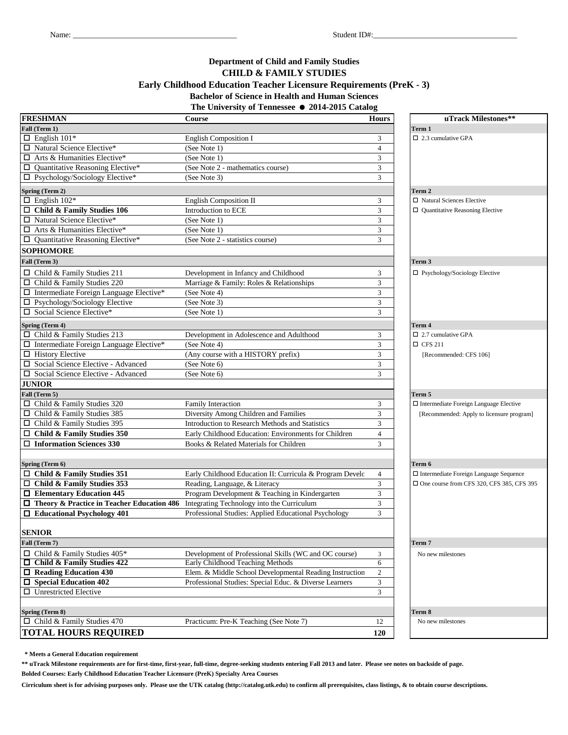# **Department of Child and Family Studies CHILD & FAMILY STUDIES Bachelor of Science in Health and Human Sciences Early Childhood Education Teacher Licensure Requirements (PreK - 3)**

**The University of Tennessee** = **2014-2015 Catalog**

| <b>FRESHMAN</b>                                                                              | <b>Course</b>                                            | <b>Hours</b>   | uTrack Milestones**                         |
|----------------------------------------------------------------------------------------------|----------------------------------------------------------|----------------|---------------------------------------------|
| Fall (Term 1)                                                                                |                                                          |                | Term 1                                      |
| $\Box$ English 101*                                                                          | <b>English Composition I</b>                             | 3              | $\Box$ 2.3 cumulative GPA                   |
| □ Natural Science Elective*                                                                  | (See Note 1)                                             | $\overline{4}$ |                                             |
| $\Box$ Arts & Humanities Elective*                                                           | (See Note 1)                                             | 3              |                                             |
| $\Box$ Quantitative Reasoning Elective*                                                      | (See Note 2 - mathematics course)                        | 3              |                                             |
| $\Box$ Psychology/Sociology Elective*                                                        | (See Note 3)                                             | 3              |                                             |
| Spring (Term 2)                                                                              |                                                          |                | Term 2                                      |
| $\Box$ English 102*                                                                          | <b>English Composition II</b>                            | 3              | □ Natural Sciences Elective                 |
| $\Box$ Child & Family Studies 106                                                            | Introduction to ECE                                      | 3              | $\Box$ Quantitative Reasoning Elective      |
| $\Box$ Natural Science Elective*                                                             | (See Note 1)                                             | 3              |                                             |
| $\Box$ Arts & Humanities Elective*                                                           | (See Note 1)                                             | 3              |                                             |
| $\Box$ Quantitative Reasoning Elective*                                                      | (See Note 2 - statistics course)                         | 3              |                                             |
| <b>SOPHOMORE</b>                                                                             |                                                          |                |                                             |
| Fall (Term 3)                                                                                |                                                          |                | Term 3                                      |
| $\Box$ Child & Family Studies 211                                                            | Development in Infancy and Childhood                     | 3              | $\Box$ Psychology/Sociology Elective        |
| □ Child & Family Studies 220                                                                 | Marriage & Family: Roles & Relationships                 | 3              |                                             |
| $\Box$ Intermediate Foreign Language Elective*                                               | (See Note 4)                                             | 3              |                                             |
| $\Box$ Psychology/Sociology Elective                                                         | (See Note 3)                                             | 3              |                                             |
| □ Social Science Elective*                                                                   | (See Note 1)                                             | 3              |                                             |
|                                                                                              |                                                          |                |                                             |
| Spring (Term 4)                                                                              |                                                          |                | Term 4                                      |
| $\Box$ Child & Family Studies 213                                                            | Development in Adolescence and Adulthood                 | 3              | $\Box$ 2.7 cumulative GPA                   |
| $\Box$ Intermediate Foreign Language Elective*                                               | (See Note 4)                                             | 3              | $\Box$ CFS 211                              |
| $\Box$ History Elective                                                                      | (Any course with a HISTORY prefix)                       | 3              | [Recommended: CFS 106]                      |
| □ Social Science Elective - Advanced                                                         | (See Note 6)                                             | $\mathfrak{Z}$ |                                             |
| □ Social Science Elective - Advanced                                                         | (See Note 6)                                             | 3              |                                             |
| <b>JUNIOR</b>                                                                                |                                                          |                |                                             |
| Fall (Term 5)                                                                                |                                                          |                | Term 5                                      |
| □ Child & Family Studies 320                                                                 | Family Interaction                                       | 3              | □ Intermediate Foreign Language Elective    |
| □ Child & Family Studies 385                                                                 | Diversity Among Children and Families                    | 3              | [Recommended: Apply to licensure program]   |
| □ Child & Family Studies 395                                                                 | Introduction to Research Methods and Statistics          | 3              |                                             |
| $\Box$ Child & Family Studies 350                                                            | Early Childhood Education: Environments for Children     | $\overline{4}$ |                                             |
| $\Box$ Information Sciences 330                                                              | Books & Related Materials for Children                   | 3              |                                             |
|                                                                                              |                                                          |                |                                             |
| Spring (Term 6)                                                                              |                                                          |                | Term 6                                      |
| $\Box$ Child & Family Studies 351                                                            | Early Childhood Education II: Curricula & Program Develo | 4              | □ Intermediate Foreign Language Sequence    |
| $\Box$ Child & Family Studies 353                                                            | Reading, Language, & Literacy                            | 3              | □ One course from CFS 320, CFS 385, CFS 395 |
| □ Elementary Education 445                                                                   | Program Development & Teaching in Kindergarten           | 3              |                                             |
| $\Box$ Theory & Practice in Teacher Education 486 Integrating Technology into the Curriculum |                                                          | 3              |                                             |
| Educational Psychology 401                                                                   | Professional Studies: Applied Educational Psychology     | 3              |                                             |
|                                                                                              |                                                          |                |                                             |
| <b>SENIOR</b>                                                                                |                                                          |                |                                             |
| Fall (Term 7)                                                                                |                                                          |                | Term 7                                      |
| $\Box$ Child & Family Studies 405*                                                           | Development of Professional Skills (WC and OC course)    | 3              | No new milestones                           |
| $\Box$ Child & Family Studies 422                                                            | Early Childhood Teaching Methods                         | 6              |                                             |
| $\Box$ Reading Education 430                                                                 | Elem. & Middle School Developmental Reading Instruction  | $\overline{c}$ |                                             |
| $\Box$ Special Education 402                                                                 | Professional Studies: Special Educ. & Diverse Learners   | $\mathfrak{Z}$ |                                             |
| $\Box$ Unrestricted Elective                                                                 |                                                          | 3              |                                             |
|                                                                                              |                                                          |                |                                             |
| Spring (Term 8)                                                                              |                                                          |                | Term 8                                      |
| $\Box$ Child & Family Studies 470                                                            | Practicum: Pre-K Teaching (See Note 7)                   | 12             | No new milestones                           |
| <b>TOTAL HOURS REQUIRED</b>                                                                  |                                                          | 120            |                                             |

 **\* Meets a General Education requirement**

**\*\* uTrack Milestone requirements are for first-time, first-year, full-time, degree-seeking students entering Fall 2013 and later. Please see notes on backside of page. Bolded Courses: Early Childhood Education Teacher Licensure (PreK) Specialty Area Courses**

**Cirriculum sheet is for advising purposes only. Please use the UTK catalog (http://catalog.utk.edu) to confirm all prerequisites, class listings, & to obtain course descriptions.**